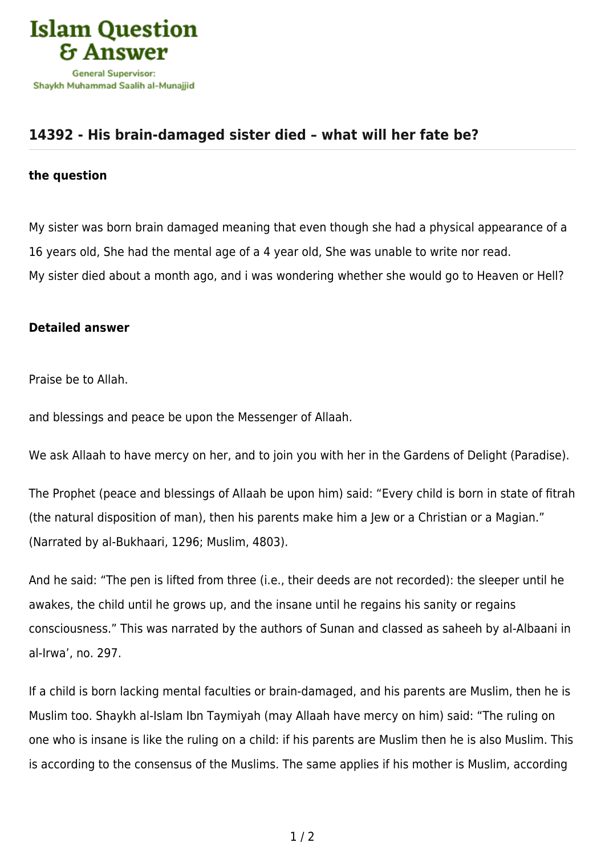

## **[14392 - His brain-damaged sister died – what will her fate be?](https://islamqa.com/en/answers/14392/his-brain-damaged-sister-died-what-will-her-fate-be)**

## **the question**

My sister was born brain damaged meaning that even though she had a physical appearance of a 16 years old, She had the mental age of a 4 year old, She was unable to write nor read. My sister died about a month ago, and i was wondering whether she would go to Heaven or Hell?

## **Detailed answer**

Praise be to Allah.

and blessings and peace be upon the Messenger of Allaah.

We ask Allaah to have mercy on her, and to join you with her in the Gardens of Delight (Paradise).

The Prophet (peace and blessings of Allaah be upon him) said: "Every child is born in state of fitrah (the natural disposition of man), then his parents make him a Jew or a Christian or a Magian." (Narrated by al-Bukhaari, 1296; Muslim, 4803).

And he said: "The pen is lifted from three (i.e., their deeds are not recorded): the sleeper until he awakes, the child until he grows up, and the insane until he regains his sanity or regains consciousness." This was narrated by the authors of Sunan and classed as saheeh by al-Albaani in al-Irwa', no. 297.

If a child is born lacking mental faculties or brain-damaged, and his parents are Muslim, then he is Muslim too. Shaykh al-Islam Ibn Taymiyah (may Allaah have mercy on him) said: "The ruling on one who is insane is like the ruling on a child: if his parents are Muslim then he is also Muslim. This is according to the consensus of the Muslims. The same applies if his mother is Muslim, according